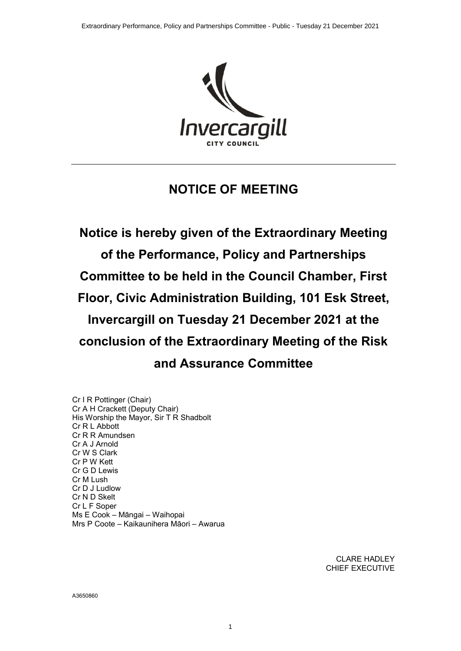

## **NOTICE OF MEETING**

**Notice is hereby given of the Extraordinary Meeting of the Performance, Policy and Partnerships Committee to be held in the Council Chamber, First Floor, Civic Administration Building, 101 Esk Street, Invercargill on Tuesday 21 December 2021 at the conclusion of the Extraordinary Meeting of the Risk and Assurance Committee**

Cr I R Pottinger (Chair) Cr A H Crackett (Deputy Chair) His Worship the Mayor, Sir T R Shadbolt Cr R L Abbott Cr R R Amundsen Cr A J Arnold Cr W S Clark Cr P W Kett Cr G D Lewis Cr M Lush Cr D J Ludlow Cr N D Skelt Cr L F Soper Ms E Cook – Māngai – Waihopai Mrs P Coote – Kaikaunihera Māori – Awarua

> CLARE HADLEY CHIEF EXECUTIVE

A3650860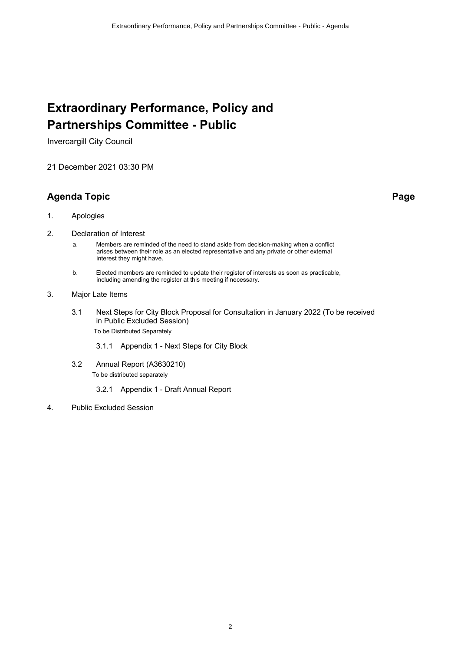# **Extraordinary Performance, Policy and Partnerships Committee - Public**

Invercargill City Council

21 December 2021 03:30 PM

## **Agenda Topic Page**

- 1. Apologies
- 2. Declaration of Interest
	- a. Members are reminded of the need to stand aside from decision-making when a conflict arises between their role as an elected representative and any private or other external interest they might have.
	- b. Elected members are reminded to update their register of interests as soon as practicable, including amending the register at this meeting if necessary.
- 3. Major Late Items
	- 3.1 Next Steps for City Block Proposal for Consultation in January 2022 (To be received in Public Excluded Session) To be Distributed Separately
		- 3.1.1 Appendix 1 Next Steps for City Block
	- 3.2 Annual Report (A3630210) To be distributed separately
		- 3.2.1 Appendix 1 Draft Annual Report
- 4. Public Excluded Session